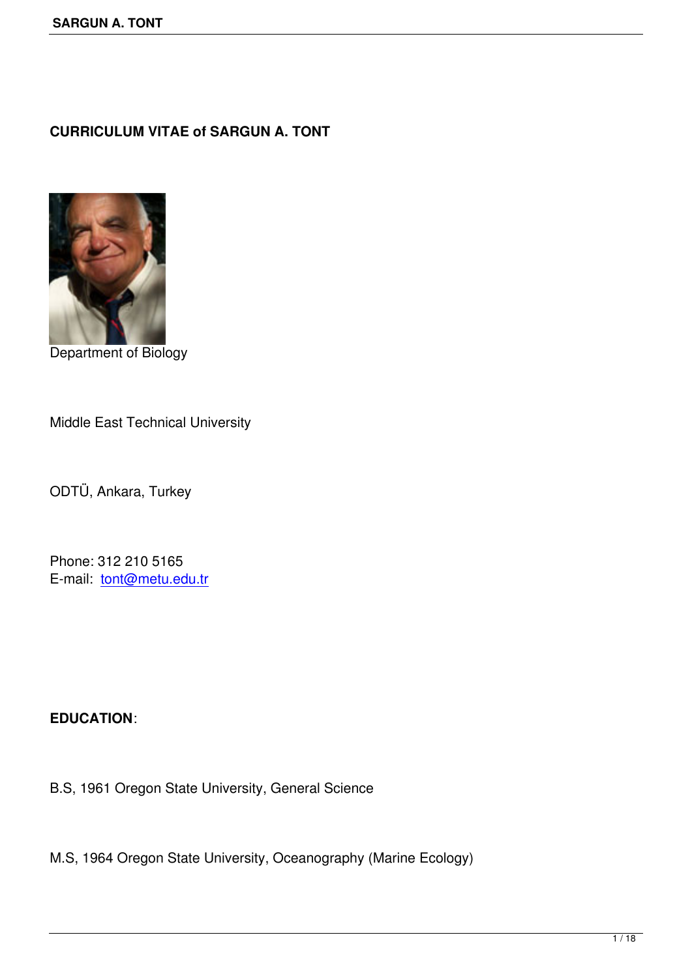# **CURRICULUM VITAE of SARGUN A. TONT**



Department of Biology

Middle East Technical University

ODTÜ, Ankara, Turkey

Phone: 312 210 5165 E-mail: tont@metu.edu.tr

#### **EDUCATION**:

B.S, 1961 Oregon State University, General Science

M.S, 1964 Oregon State University, Oceanography (Marine Ecology)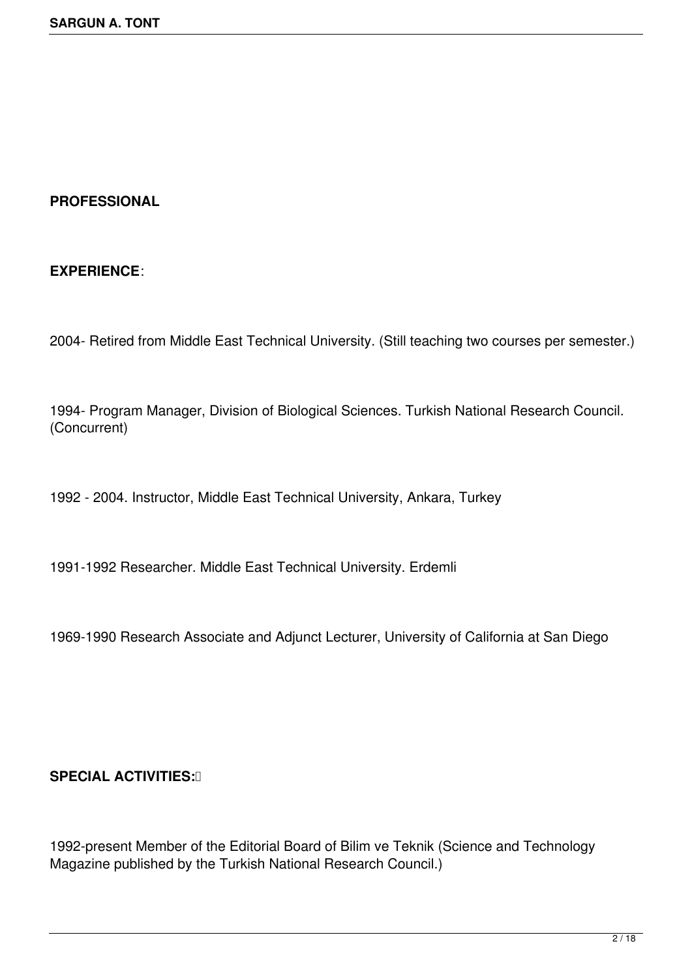### **PROFESSIONAL**

### **EXPERIENCE**:

2004- Retired from Middle East Technical University. (Still teaching two courses per semester.)

1994- Program Manager, Division of Biological Sciences. Turkish National Research Council. (Concurrent)

1992 - 2004. Instructor, Middle East Technical University, Ankara, Turkey

1991-1992 Researcher. Middle East Technical University. Erdemli

1969-1990 Research Associate and Adjunct Lecturer, University of California at San Diego

#### **SPECIAL ACTIVITIES:** 0

1992-present Member of the Editorial Board of Bilim ve Teknik (Science and Technology Magazine published by the Turkish National Research Council.)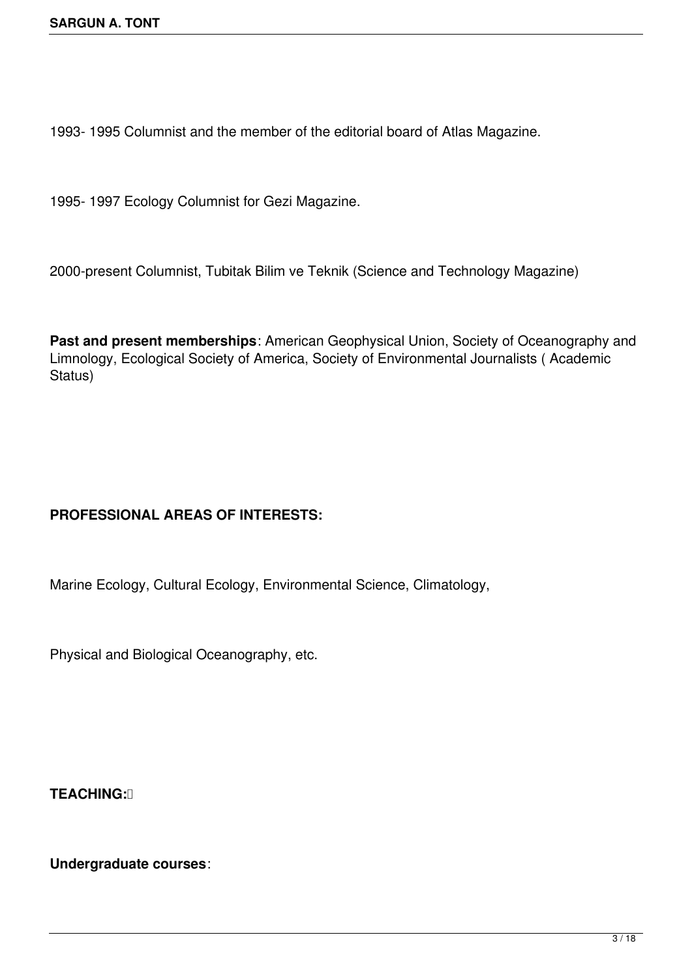1993- 1995 Columnist and the member of the editorial board of Atlas Magazine.

1995- 1997 Ecology Columnist for Gezi Magazine.

2000-present Columnist, Tubitak Bilim ve Teknik (Science and Technology Magazine)

**Past and present memberships**: American Geophysical Union, Society of Oceanography and Limnology, Ecological Society of America, Society of Environmental Journalists ( Academic Status)

# **PROFESSIONAL AREAS OF INTERESTS:**

Marine Ecology, Cultural Ecology, Environmental Science, Climatology,

Physical and Biological Oceanography, etc.

**TEACHING:** 

**Undergraduate courses**: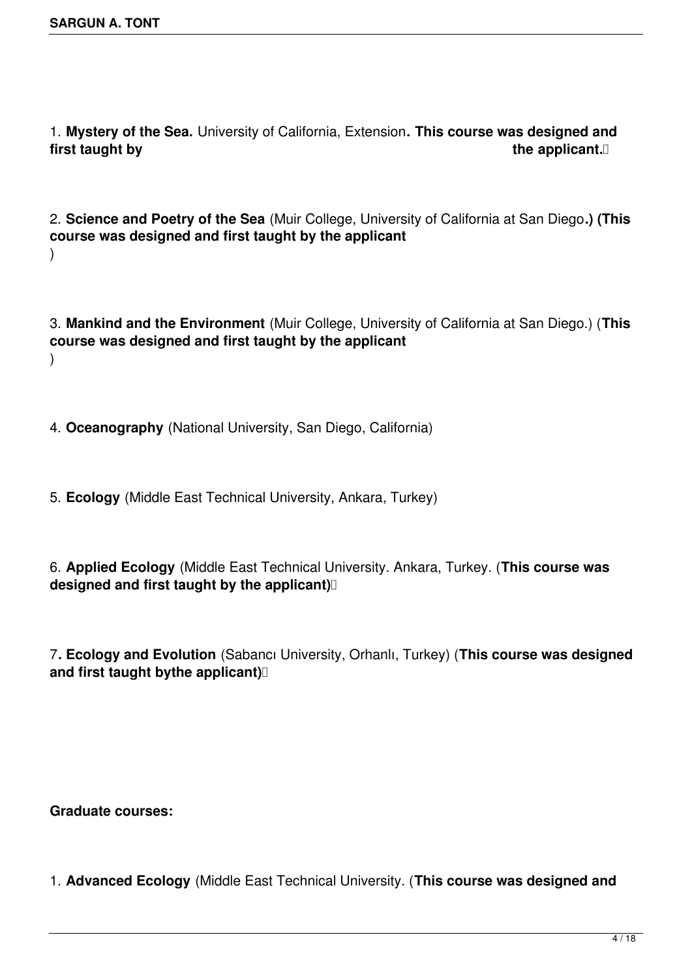1. **Mystery of the Sea.** University of California, Extension**. This course was designed and first taught by the applicant.** If the applicant the applicant. If the applicant  $\Box$ 

2. **Science and Poetry of the Sea** (Muir College, University of California at San Diego**.) (This course was designed and first taught by the applicant** )

3. **Mankind and the Environment** (Muir College, University of California at San Diego.) (**This course was designed and first taught by the applicant** )

- 4. **Oceanography** (National University, San Diego, California)
- 5. **Ecology** (Middle East Technical University, Ankara, Turkey)

6. **Applied Ecology** (Middle East Technical University. Ankara, Turkey. (**This course was designed and first taught by the applicant)** 

7**. Ecology and Evolution** (Sabancı University, Orhanlı, Turkey) (**This course was designed and first taught bythe applicant)** 

**Graduate courses:**

1. **Advanced Ecology** (Middle East Technical University. (**This course was designed and**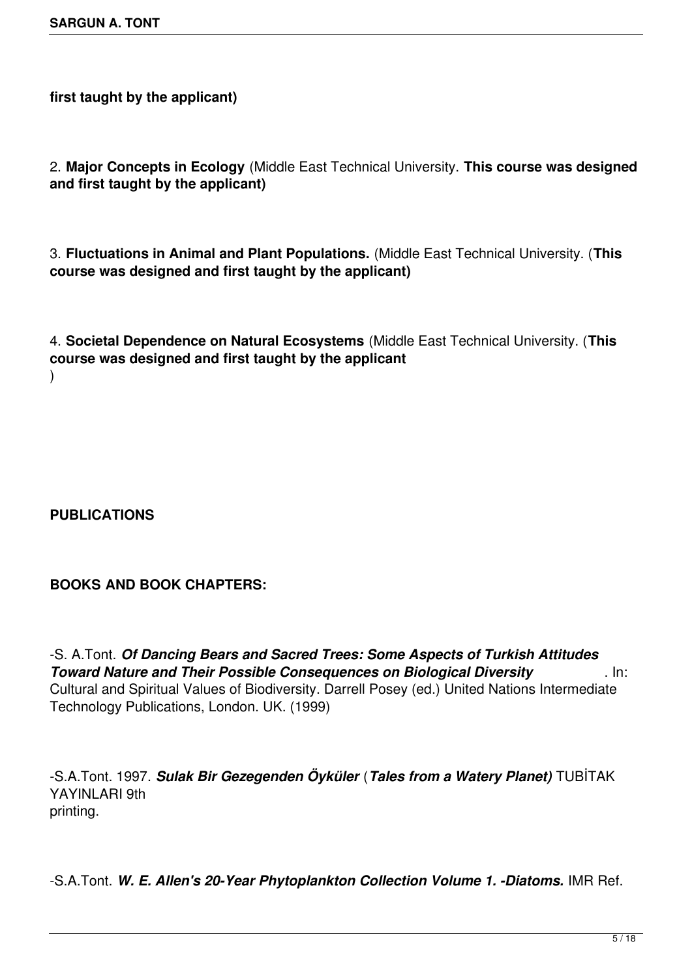**first taught by the applicant)**

2. **Major Concepts in Ecology** (Middle East Technical University. **This course was designed and first taught by the applicant)**

3. **Fluctuations in Animal and Plant Populations.** (Middle East Technical University. (**This course was designed and first taught by the applicant)**

4. **Societal Dependence on Natural Ecosystems** (Middle East Technical University. (**This course was designed and first taught by the applicant** )

## **PUBLICATIONS**

## **BOOKS AND BOOK CHAPTERS:**

-S. A.Tont. *Of Dancing Bears and Sacred Trees: Some Aspects of Turkish Attitudes Toward Nature and Their Possible Consequences on Biological Diversity* . In: Cultural and Spiritual Values of Biodiversity. Darrell Posey (ed.) United Nations Intermediate Technology Publications, London. UK. (1999)

-S.A.Tont. 1997. *Sulak Bir Gezegenden Öyküler* (*Tales from a Watery Planet)* TUBİTAK YAYINLARI 9th printing.

-S.A.Tont. *W. E. Allen's 20-Year Phytoplankton Collection Volume 1. -Diatoms.* IMR Ref.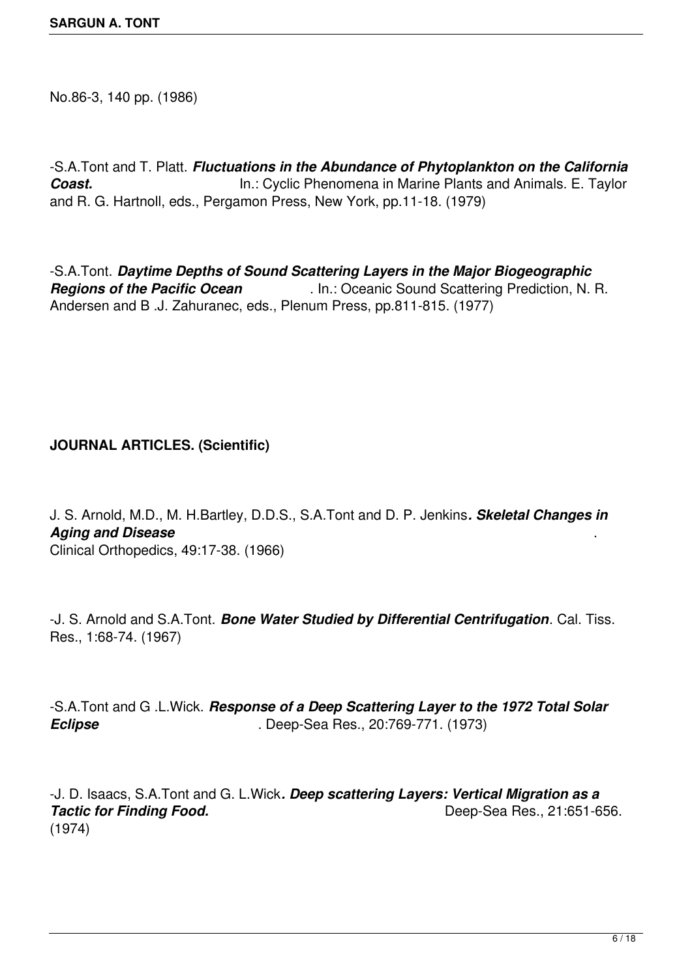No.86-3, 140 pp. (1986)

-S.A.Tont and T. Platt. *Fluctuations in the Abundance of Phytoplankton on the California* **Coast. In.: Cyclic Phenomena in Marine Plants and Animals. E. Taylor** and R. G. Hartnoll, eds., Pergamon Press, New York, pp.11-18. (1979)

-S.A.Tont. *Daytime Depths of Sound Scattering Layers in the Major Biogeographic Regions of the Pacific Ocean* . In.: Oceanic Sound Scattering Prediction, N. R. Andersen and B .J. Zahuranec, eds., Plenum Press, pp.811-815. (1977)

## **JOURNAL ARTICLES. (Scientific)**

J. S. Arnold, M.D., M. H.Bartley, D.D.S., S.A.Tont and D. P. Jenkins*. Skeletal Changes in Aging and Disease* . Clinical Orthopedics, 49:17-38. (1966)

-J. S. Arnold and S.A.Tont. *Bone Water Studied by Differential Centrifugation*. Cal. Tiss. Res., 1:68-74. (1967)

-S.A.Tont and G .L.Wick. *Response of a Deep Scattering Layer to the 1972 Total Solar Eclipse* . Deep-Sea Res., 20:769-771. (1973)

-J. D. Isaacs, S.A.Tont and G. L.Wick*. Deep scattering Layers: Vertical Migration as a* **Tactic for Finding Food.** Tactic for Finding Food. (1974)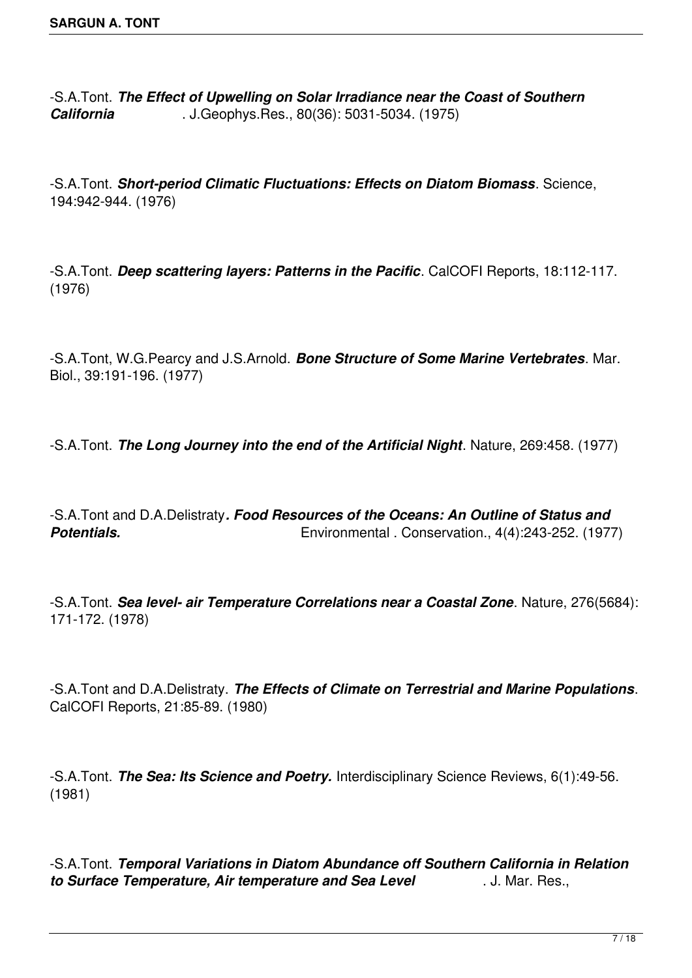-S.A.Tont. *The Effect of Upwelling on Solar Irradiance near the Coast of Southern California* . J.Geophys.Res., 80(36): 5031-5034. (1975)

-S.A.Tont. *Short-period Climatic Fluctuations: Effects on Diatom Biomass*. Science, 194:942-944. (1976)

-S.A.Tont. *Deep scattering layers: Patterns in the Pacific*. CalCOFI Reports, 18:112-117. (1976)

-S.A.Tont, W.G.Pearcy and J.S.Arnold. *Bone Structure of Some Marine Vertebrates*. Mar. Biol., 39:191-196. (1977)

-S.A.Tont. *The Long Journey into the end of the Artificial Night*. Nature, 269:458. (1977)

-S.A.Tont and D.A.Delistraty*. Food Resources of the Oceans: An Outline of Status and* **Potentials. Potentials.** Environmental . Conservation., 4(4):243-252. (1977)

-S.A.Tont. *Sea level- air Temperature Correlations near a Coastal Zone*. Nature, 276(5684): 171-172. (1978)

-S.A.Tont and D.A.Delistraty. *The Effects of Climate on Terrestrial and Marine Populations*. CalCOFI Reports, 21:85-89. (1980)

-S.A.Tont. *The Sea: Its Science and Poetry.* Interdisciplinary Science Reviews, 6(1):49-56. (1981)

-S.A.Tont. *Temporal Variations in Diatom Abundance off Southern California in Relation to Surface Temperature, Air temperature and Sea Level* . J. Mar. Res.,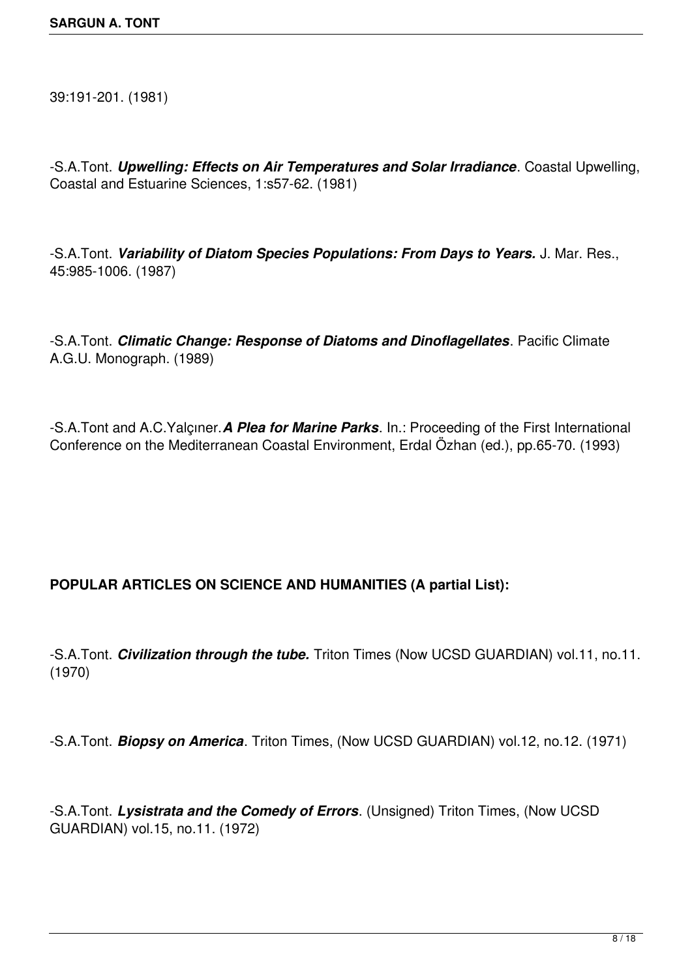39:191-201. (1981)

-S.A.Tont. *Upwelling: Effects on Air Temperatures and Solar Irradiance*. Coastal Upwelling, Coastal and Estuarine Sciences, 1:s57-62. (1981)

-S.A.Tont. *Variability of Diatom Species Populations: From Days to Years.* J. Mar. Res., 45:985-1006. (1987)

-S.A.Tont. *Climatic Change: Response of Diatoms and Dinoflagellates*. Pacific Climate A.G.U. Monograph. (1989)

-S.A.Tont and A.C.Yalçıner.*A Plea for Marine Parks*. In.: Proceeding of the First International Conference on the Mediterranean Coastal Environment, Erdal Özhan (ed.), pp.65-70. (1993)

## **POPULAR ARTICLES ON SCIENCE AND HUMANITIES (A partial List):**

-S.A.Tont. *Civilization through the tube.* Triton Times (Now UCSD GUARDIAN) vol.11, no.11. (1970)

-S.A.Tont. *Biopsy on America*. Triton Times, (Now UCSD GUARDIAN) vol.12, no.12. (1971)

-S.A.Tont. *Lysistrata and the Comedy of Errors*. (Unsigned) Triton Times, (Now UCSD GUARDIAN) vol.15, no.11. (1972)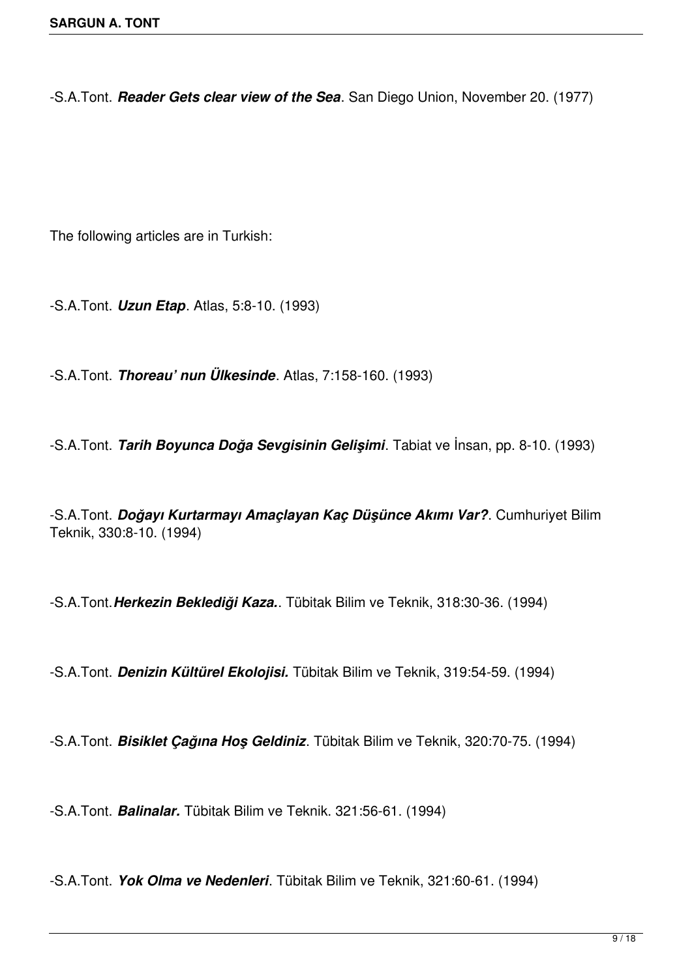-S.A.Tont. *Reader Gets clear view of the Sea*. San Diego Union, November 20. (1977)

The following articles are in Turkish:

-S.A.Tont. *Uzun Etap*. Atlas, 5:8-10. (1993)

-S.A.Tont. *Thoreau' nun Ülkesinde*. Atlas, 7:158-160. (1993)

-S.A.Tont. *Tarih Boyunca Doğa Sevgisinin Gelişimi*. Tabiat ve İnsan, pp. 8-10. (1993)

-S.A.Tont. *Doğayı Kurtarmayı Amaçlayan Kaç Düşünce Akımı Var?*. Cumhuriyet Bilim Teknik, 330:8-10. (1994)

-S.A.Tont.*Herkezin Beklediği Kaza.*. Tübitak Bilim ve Teknik, 318:30-36. (1994)

-S.A.Tont. *Denizin Kültürel Ekolojisi.* Tübitak Bilim ve Teknik, 319:54-59. (1994)

-S.A.Tont. *Bisiklet Çağına Hoş Geldiniz*. Tübitak Bilim ve Teknik, 320:70-75. (1994)

-S.A.Tont. *Balinalar.* Tübitak Bilim ve Teknik. 321:56-61. (1994)

-S.A.Tont. *Yok Olma ve Nedenleri*. Tübitak Bilim ve Teknik, 321:60-61. (1994)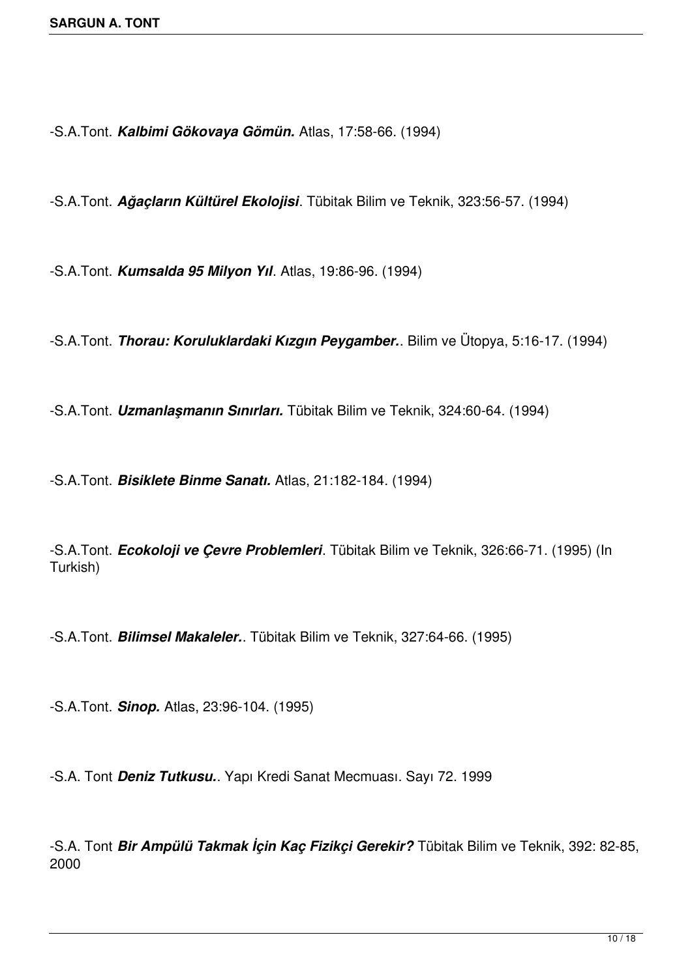-S.A.Tont. *Kalbimi Gökovaya Gömün.* Atlas, 17:58-66. (1994)

-S.A.Tont. *Ağaçların Kültürel Ekolojisi*. Tübitak Bilim ve Teknik, 323:56-57. (1994)

-S.A.Tont. *Kumsalda 95 Milyon Yıl*. Atlas, 19:86-96. (1994)

-S.A.Tont. *Thorau: Koruluklardaki Kızgın Peygamber.*. Bilim ve Ütopya, 5:16-17. (1994)

-S.A.Tont. *Uzmanlaşmanın Sınırları.* Tübitak Bilim ve Teknik, 324:60-64. (1994)

-S.A.Tont. *Bisiklete Binme Sanatı.* Atlas, 21:182-184. (1994)

-S.A.Tont. *Ecokoloji ve Çevre Problemleri*. Tübitak Bilim ve Teknik, 326:66-71. (1995) (In Turkish)

-S.A.Tont. *Bilimsel Makaleler.*. Tübitak Bilim ve Teknik, 327:64-66. (1995)

-S.A.Tont. *Sinop.* Atlas, 23:96-104. (1995)

-S.A. Tont *Deniz Tutkusu.*. Yapı Kredi Sanat Mecmuası. Sayı 72. 1999

-S.A. Tont *Bir Ampülü Takmak İçin Kaç Fizikçi Gerekir?* Tübitak Bilim ve Teknik, 392: 82-85, 2000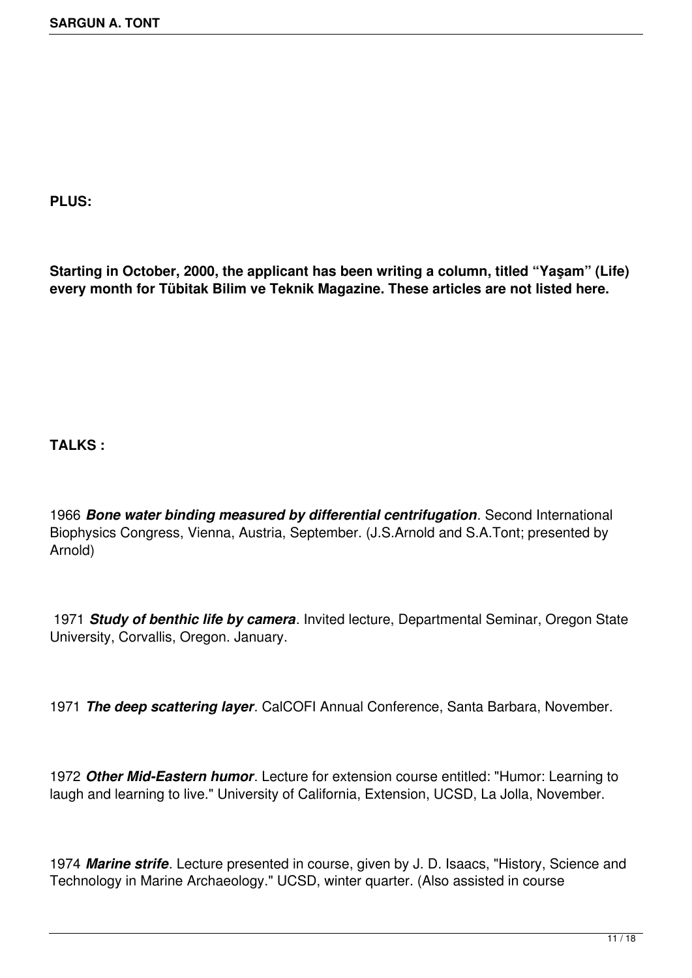**PLUS:**

**Starting in October, 2000, the applicant has been writing a column, titled "Yaşam" (Life) every month for Tübitak Bilim ve Teknik Magazine. These articles are not listed here.**

**TALKS :**

1966 *Bone water binding measured by differential centrifugation*. Second International Biophysics Congress, Vienna, Austria, September. (J.S.Arnold and S.A.Tont; presented by Arnold)

 1971 *Study of benthic life by camera*. Invited lecture, Departmental Seminar, Oregon State University, Corvallis, Oregon. January.

1971 *The deep scattering layer*. CalCOFI Annual Conference, Santa Barbara, November.

1972 *Other Mid-Eastern humor*. Lecture for extension course entitled: "Humor: Learning to laugh and learning to live." University of California, Extension, UCSD, La Jolla, November.

1974 *Marine strife*. Lecture presented in course, given by J. D. Isaacs, "History, Science and Technology in Marine Archaeology." UCSD, winter quarter. (Also assisted in course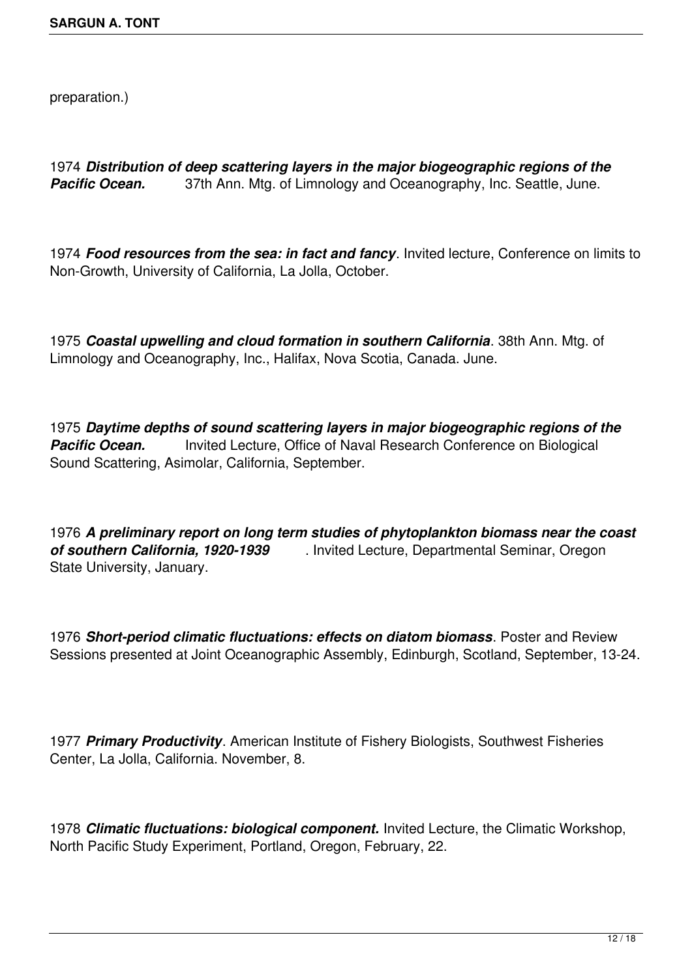preparation.)

1974 *Distribution of deep scattering layers in the major biogeographic regions of the Pacific Ocean.* 37th Ann. Mtg. of Limnology and Oceanography, Inc. Seattle, June.

1974 *Food resources from the sea: in fact and fancy*. Invited lecture, Conference on limits to Non-Growth, University of California, La Jolla, October.

1975 *Coastal upwelling and cloud formation in southern California*. 38th Ann. Mtg. of Limnology and Oceanography, Inc., Halifax, Nova Scotia, Canada. June.

1975 *Daytime depths of sound scattering layers in major biogeographic regions of the* **Pacific Ocean.** Invited Lecture, Office of Naval Research Conference on Biological Sound Scattering, Asimolar, California, September.

1976 *A preliminary report on long term studies of phytoplankton biomass near the coast of southern California, 1920-1939* . Invited Lecture, Departmental Seminar, Oregon State University, January.

1976 *Short-period climatic fluctuations: effects on diatom biomass*. Poster and Review Sessions presented at Joint Oceanographic Assembly, Edinburgh, Scotland, September, 13-24.

1977 *Primary Productivity*. American Institute of Fishery Biologists, Southwest Fisheries Center, La Jolla, California. November, 8.

1978 *Climatic fluctuations: biological component.* Invited Lecture, the Climatic Workshop, North Pacific Study Experiment, Portland, Oregon, February, 22.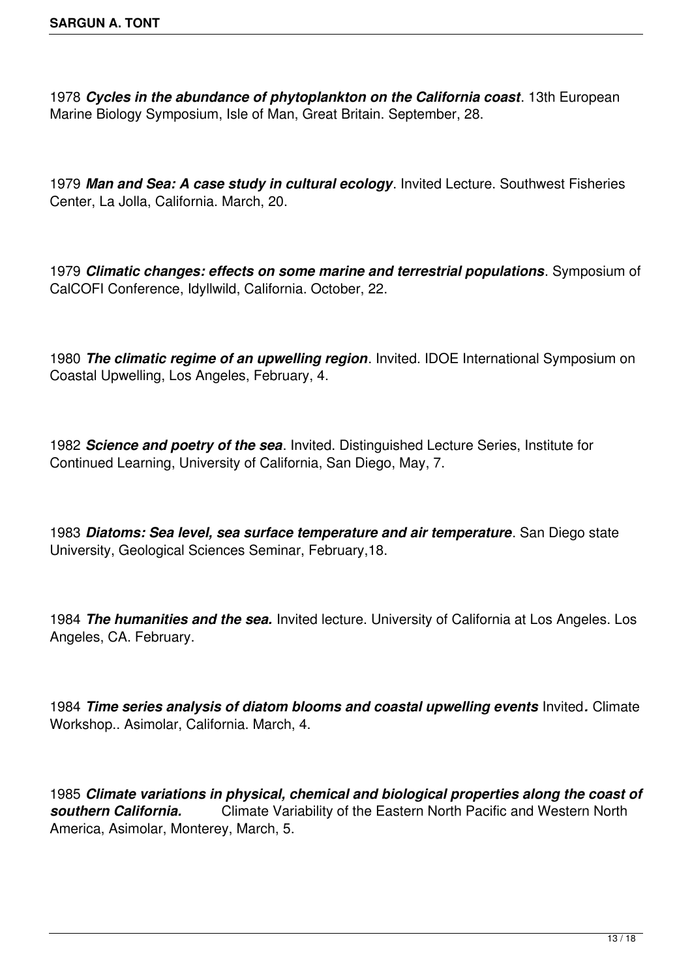1978 *Cycles in the abundance of phytoplankton on the California coast*. 13th European Marine Biology Symposium, Isle of Man, Great Britain. September, 28.

1979 *Man and Sea: A case study in cultural ecology*. Invited Lecture. Southwest Fisheries Center, La Jolla, California. March, 20.

1979 *Climatic changes: effects on some marine and terrestrial populations*. Symposium of CalCOFI Conference, Idyllwild, California. October, 22.

1980 *The climatic regime of an upwelling region*. Invited. IDOE International Symposium on Coastal Upwelling, Los Angeles, February, 4.

1982 *Science and poetry of the sea*. Invited. Distinguished Lecture Series, Institute for Continued Learning, University of California, San Diego, May, 7.

1983 *Diatoms: Sea level, sea surface temperature and air temperature*. San Diego state University, Geological Sciences Seminar, February,18.

1984 *The humanities and the sea.* Invited lecture. University of California at Los Angeles. Los Angeles, CA. February.

1984 *Time series analysis of diatom blooms and coastal upwelling events* Invited*.* Climate Workshop.. Asimolar, California. March, 4.

1985 *Climate variations in physical, chemical and biological properties along the coast of southern California.* Climate Variability of the Eastern North Pacific and Western North America, Asimolar, Monterey, March, 5.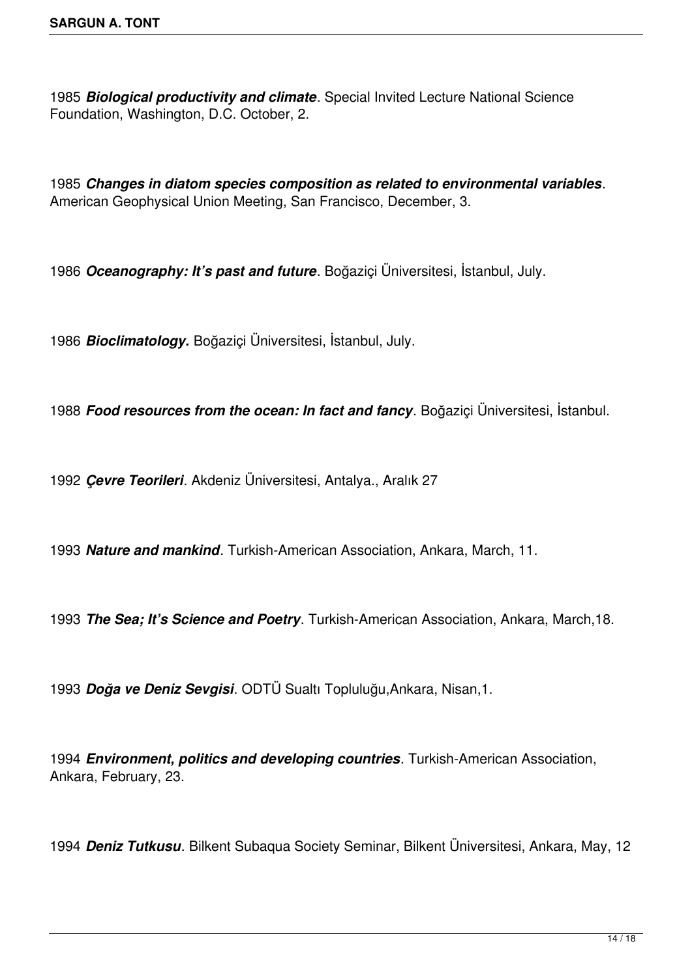*Biological productivity and climate*. Special Invited Lecture National Science Foundation, Washington, D.C. October, 2.

*Changes in diatom species composition as related to environmental variables*. American Geophysical Union Meeting, San Francisco, December, 3.

*Oceanography: It's past and future*. Boğaziçi Üniversitesi, İstanbul, July.

*Bioclimatology.* Boğaziçi Üniversitesi, İstanbul, July.

*Food resources from the ocean: In fact and fancy*. Boğaziçi Üniversitesi, İstanbul.

*Çevre Teorileri*. Akdeniz Üniversitesi, Antalya., Aralık 27

*Nature and mankind*. Turkish-American Association, Ankara, March, 11.

*The Sea; It's Science and Poetry*. Turkish-American Association, Ankara, March,18.

*Doğa ve Deniz Sevgisi*. ODTÜ Sualtı Topluluğu,Ankara, Nisan,1.

*Environment, politics and developing countries*. Turkish-American Association, Ankara, February, 23.

*Deniz Tutkusu*. Bilkent Subaqua Society Seminar, Bilkent Üniversitesi, Ankara, May, 12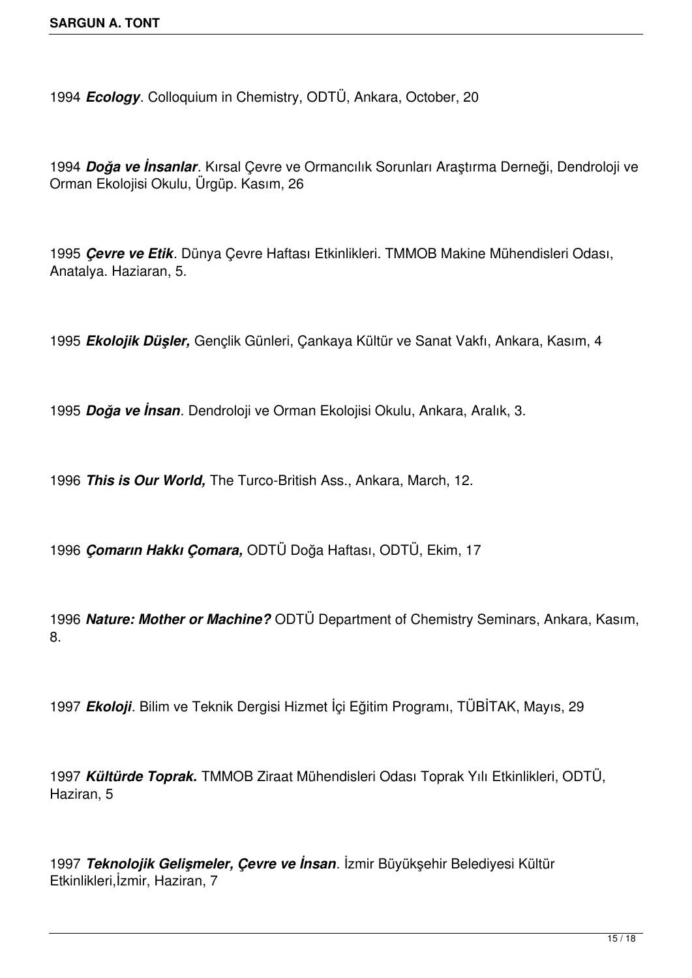*Ecology*. Colloquium in Chemistry, ODTÜ, Ankara, October, 20

*Doğa ve İnsanlar*. Kırsal Çevre ve Ormancılık Sorunları Araştırma Derneği, Dendroloji ve Orman Ekolojisi Okulu, Ürgüp. Kasım, 26

*Çevre ve Etik*. Dünya Çevre Haftası Etkinlikleri. TMMOB Makine Mühendisleri Odası, Anatalya. Haziaran, 5.

*Ekolojik Düşler,* Gençlik Günleri, Çankaya Kültür ve Sanat Vakfı, Ankara, Kasım, 4

*Doğa ve İnsan*. Dendroloji ve Orman Ekolojisi Okulu, Ankara, Aralık, 3.

*This is Our World,* The Turco-British Ass., Ankara, March, 12.

 *Çomarın Hakkı Çomara,* ODTÜ Doğa Haftası, ODTÜ, Ekim, 17

 *Nature: Mother or Machine?* ODTÜ Department of Chemistry Seminars, Ankara, Kasım, 8.

*Ekoloji*. Bilim ve Teknik Dergisi Hizmet İçi Eğitim Programı, TÜBİTAK, Mayıs, 29

*Kültürde Toprak.* TMMOB Ziraat Mühendisleri Odası Toprak Yılı Etkinlikleri, ODTÜ, Haziran, 5

*Teknolojik Gelişmeler, Çevre ve İnsan*. İzmir Büyükşehir Belediyesi Kültür Etkinlikleri,İzmir, Haziran, 7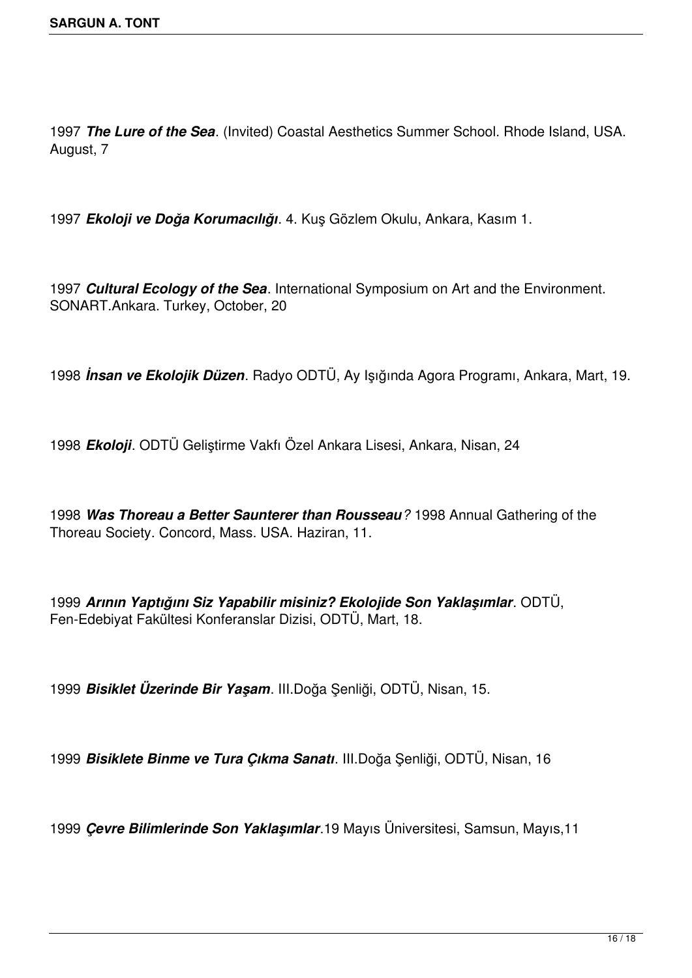*The Lure of the Sea*. (Invited) Coastal Aesthetics Summer School. Rhode Island, USA. August, 7

*Ekoloji ve Doğa Korumacılığı*. 4. Kuş Gözlem Okulu, Ankara, Kasım 1.

*Cultural Ecology of the Sea*. International Symposium on Art and the Environment. SONART.Ankara. Turkey, October, 20

*İnsan ve Ekolojik Düzen*. Radyo ODTÜ, Ay Işığında Agora Programı, Ankara, Mart, 19.

*Ekoloji*. ODTÜ Geliştirme Vakfı Özel Ankara Lisesi, Ankara, Nisan, 24

*Was Thoreau a Better Saunterer than Rousseau?* 1998 Annual Gathering of the Thoreau Society. Concord, Mass. USA. Haziran, 11.

*Arının Yaptığını Siz Yapabilir misiniz? Ekolojide Son Yaklaşımlar*. ODTÜ, Fen-Edebiyat Fakültesi Konferanslar Dizisi, ODTÜ, Mart, 18.

*Bisiklet Üzerinde Bir Yaşam*. III.Doğa Şenliği, ODTÜ, Nisan, 15.

*Bisiklete Binme ve Tura Çıkma Sanatı*. III.Doğa Şenliği, ODTÜ, Nisan, 16

*Çevre Bilimlerinde Son Yaklaşımlar*.19 Mayıs Üniversitesi, Samsun, Mayıs,11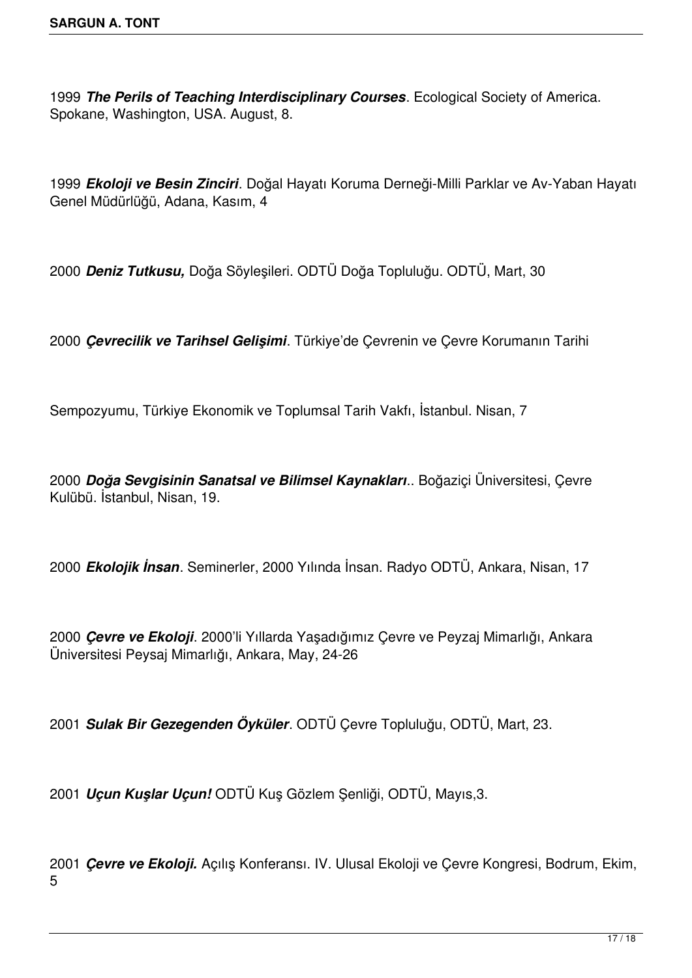*The Perils of Teaching Interdisciplinary Courses*. Ecological Society of America. Spokane, Washington, USA. August, 8.

*Ekoloji ve Besin Zinciri*. Doğal Hayatı Koruma Derneği-Milli Parklar ve Av-Yaban Hayatı Genel Müdürlüğü, Adana, Kasım, 4

*Deniz Tutkusu,* Doğa Söyleşileri. ODTÜ Doğa Topluluğu. ODTÜ, Mart, 30

*Çevrecilik ve Tarihsel Gelişimi*. Türkiye'de Çevrenin ve Çevre Korumanın Tarihi

Sempozyumu, Türkiye Ekonomik ve Toplumsal Tarih Vakfı, İstanbul. Nisan, 7

*Doğa Sevgisinin Sanatsal ve Bilimsel Kaynakları*.. Boğaziçi Üniversitesi, Çevre Kulübü. İstanbul, Nisan, 19.

*Ekolojik İnsan*. Seminerler, 2000 Yılında İnsan. Radyo ODTÜ, Ankara, Nisan, 17

 *Çevre ve Ekoloji*. 2000'li Yıllarda Yaşadığımız Çevre ve Peyzaj Mimarlığı, Ankara Üniversitesi Peysaj Mimarlığı, Ankara, May, 24-26

*Sulak Bir Gezegenden Öyküler*. ODTÜ Çevre Topluluğu, ODTÜ, Mart, 23.

*Uçun Kuşlar Uçun!* ODTÜ Kuş Gözlem Şenliği, ODTÜ, Mayıs,3.

*Çevre ve Ekoloji.* Açılış Konferansı. IV. Ulusal Ekoloji ve Çevre Kongresi, Bodrum, Ekim,